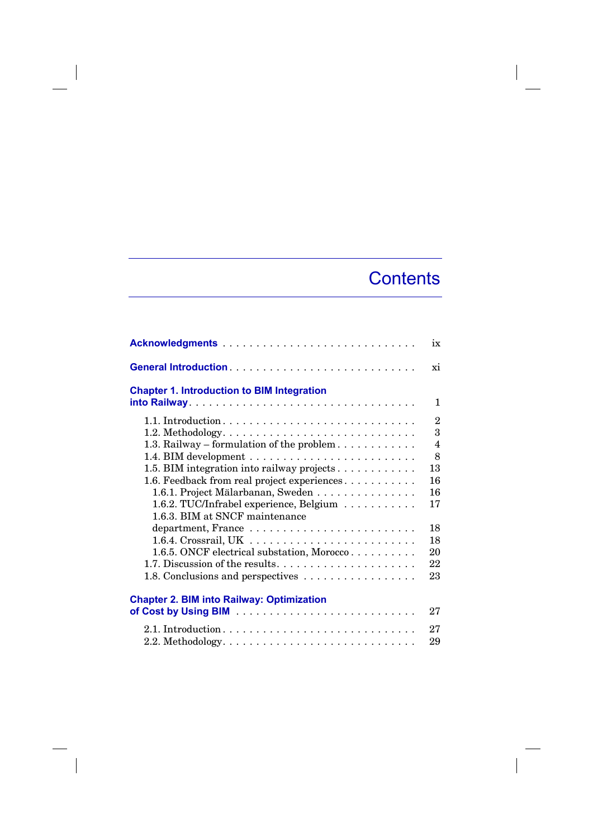## **Contents**

|                                                                                                                                                                                                                                                          | ix                                                                 |
|----------------------------------------------------------------------------------------------------------------------------------------------------------------------------------------------------------------------------------------------------------|--------------------------------------------------------------------|
|                                                                                                                                                                                                                                                          | xi                                                                 |
| <b>Chapter 1. Introduction to BIM Integration</b>                                                                                                                                                                                                        | $\mathbf{1}$                                                       |
| 1.3. Railway – formulation of the problem<br>1.5. BIM integration into railway projects<br>1.6. Feedback from real project experiences<br>1.6.1. Project Mälarbanan, Sweden<br>1.6.2. TUC/Infrabel experience, Belgium<br>1.6.3. BIM at SNCF maintenance | $\overline{2}$<br>3<br>$\overline{4}$<br>8<br>13<br>16<br>16<br>17 |
| 1.6.4. Crossrail, UK $\dots \dots \dots \dots \dots \dots \dots \dots \dots$<br>1.6.5. ONCF electrical substation, Morocco<br>1.7. Discussion of the results<br>1.8. Conclusions and perspectives                                                        | 18<br>18<br>20<br>22<br>23                                         |
| <b>Chapter 2. BIM into Railway: Optimization</b>                                                                                                                                                                                                         | 27                                                                 |
|                                                                                                                                                                                                                                                          | 27<br>29                                                           |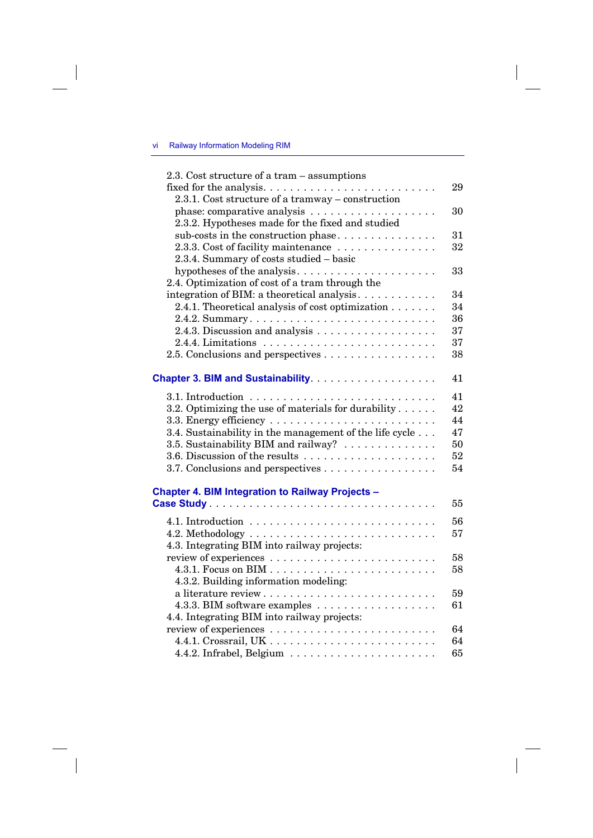## vi Railway Information Modeling RIM

 $\overline{\phantom{a}}$ 

 $\overline{\phantom{a}}$ 

| 2.3. Cost structure of a tram – assumptions                      |    |
|------------------------------------------------------------------|----|
|                                                                  | 29 |
| 2.3.1. Cost structure of a tramway - construction                |    |
|                                                                  | 30 |
| 2.3.2. Hypotheses made for the fixed and studied                 |    |
| sub-costs in the construction phase                              | 31 |
| 2.3.3. Cost of facility maintenance                              | 32 |
| 2.3.4. Summary of costs studied - basic                          |    |
|                                                                  | 33 |
| 2.4. Optimization of cost of a tram through the                  |    |
| integration of BIM: a theoretical analysis                       | 34 |
| 2.4.1. Theoretical analysis of cost optimization $\ldots \ldots$ | 34 |
| 2.4.2. Summary                                                   | 36 |
|                                                                  | 37 |
|                                                                  | 37 |
| 2.5. Conclusions and perspectives                                | 38 |
|                                                                  |    |
|                                                                  | 41 |
|                                                                  | 41 |
| 3.2. Optimizing the use of materials for durability $\dots$ .    | 42 |
|                                                                  | 44 |
| 3.4. Sustainability in the management of the life cycle          | 47 |
| 3.5. Sustainability BIM and railway?                             | 50 |
|                                                                  | 52 |
|                                                                  | 54 |
| 3.7. Conclusions and perspectives                                |    |
| Chapter 4. BIM Integration to Railway Projects -                 |    |
|                                                                  | 55 |
|                                                                  |    |
|                                                                  | 56 |
|                                                                  | 57 |
| 4.3. Integrating BIM into railway projects:                      |    |
|                                                                  | 58 |
|                                                                  | 58 |
| 4.3.2. Building information modeling:                            |    |
| a literature review                                              | 59 |
|                                                                  | 61 |
| 4.4. Integrating BIM into railway projects:                      |    |
|                                                                  | 64 |
|                                                                  | 64 |
|                                                                  | 65 |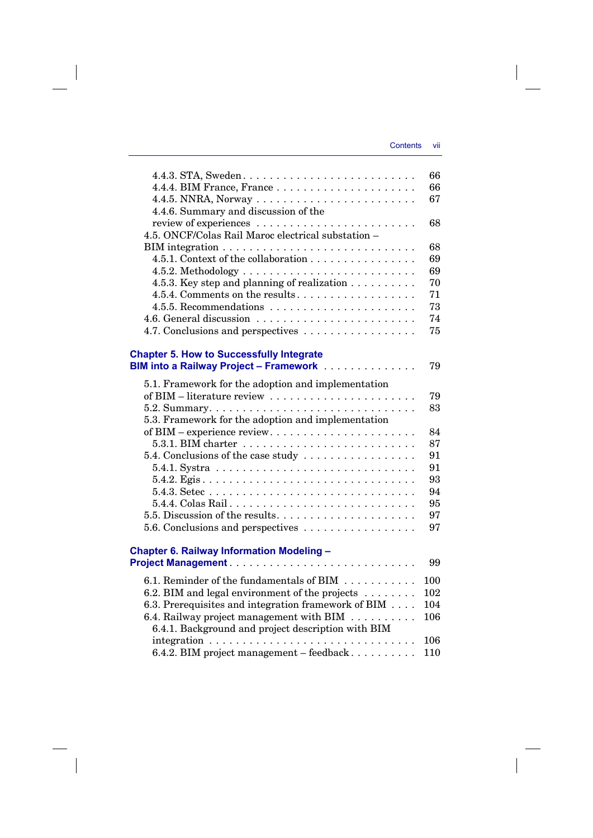$\overline{\phantom{a}}$ 

|                                                              | 66  |
|--------------------------------------------------------------|-----|
|                                                              | 66  |
|                                                              | 67  |
| 4.4.6. Summary and discussion of the                         |     |
|                                                              | 68  |
| 4.5. ONCF/Colas Rail Maroc electrical substation -           |     |
|                                                              | 68  |
| 4.5.1. Context of the collaboration                          | 69  |
|                                                              | 69  |
| 4.5.3. Key step and planning of realization                  | 70  |
| 4.5.4. Comments on the results                               | 71  |
|                                                              | 73  |
|                                                              | 74  |
| 4.7. Conclusions and perspectives                            | 75  |
|                                                              |     |
| <b>Chapter 5. How to Successfully Integrate</b>              |     |
| <b>BIM into a Railway Project - Framework</b>                | 79  |
| 5.1. Framework for the adoption and implementation           |     |
|                                                              | 79  |
|                                                              | 83  |
| 5.3. Framework for the adoption and implementation           |     |
| of BIM – experience review                                   | 84  |
|                                                              | 87  |
| 5.4. Conclusions of the case study                           | 91  |
|                                                              | 91  |
|                                                              | 93  |
|                                                              | 94  |
| 5.4.4. Colas Rail                                            | 95  |
|                                                              | 97  |
| 5.6. Conclusions and perspectives                            | 97  |
|                                                              |     |
| <b>Chapter 6. Railway Information Modeling -</b>             |     |
|                                                              | 99  |
|                                                              |     |
| 6.1. Reminder of the fundamentals of BIM                     | 100 |
| 6.2. BIM and legal environment of the projects $\dots \dots$ | 102 |
| 6.3. Prerequisites and integration framework of BIM          | 104 |
| 6.4. Railway project management with BIM                     | 106 |
| 6.4.1. Background and project description with BIM           |     |
|                                                              | 106 |
| 6.4.2. BIM project management - feedback                     | 110 |

 $\overline{\phantom{a}}$ 

 $\overline{\phantom{a}}$